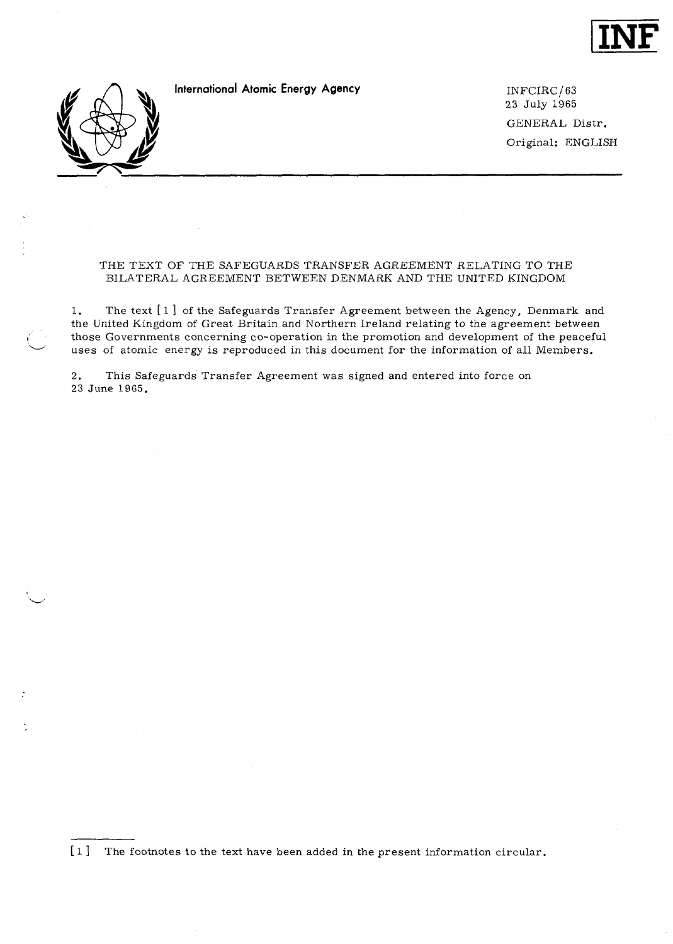

**International Atomic Energy Agency INFCIRC/63** 

23 July 1965 GENERAL Distr. Original: ENGLISH

# THE TEXT OF THE SAFEGUARDS TRANSFER AGREEMENT RELATING TO THE BILATERAL AGREEMENT BETWEEN DENMARK AND THE UNITED KINGDOM

1. The text [ 1 ] of the Safeguards Transfer Agreement between the Agency, Denmark and the United Kingdom of Great Britain and Northern Ireland relating to the agreement between those Governments concerning co-operation in the promotion and development of the peaceful uses of atomic energy is reproduced in this document for the information of all Members.

2. This Safeguards Transfer Agreement was signed and entered into force on 23 June 1965.

[ 1 ] The footnotes to the text have been added in the present information circular.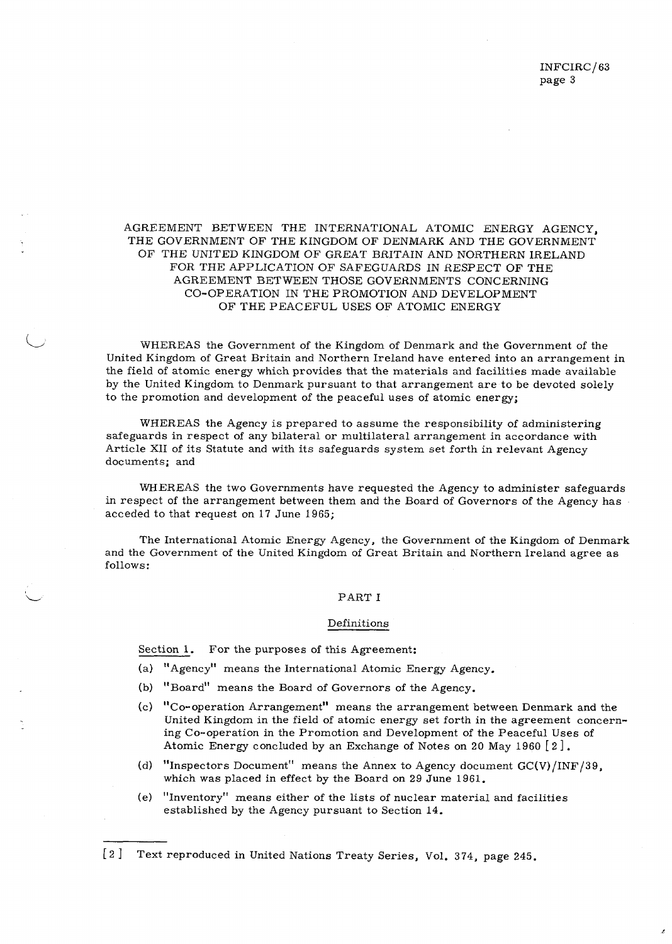# AGREEMENT BETWEEN THE INTERNATIONAL ATOMIC ENERGY AGENCY, THE GOVERNMENT OF THE KINGDOM OF DENMARK AND THE GOVERNMENT OF THE UNITED KINGDOM OF GREAT BRITAIN AND NORTHERN IRELAND FOR THE APPLICATION OF SAFEGUARDS IN RESPECT OF THE AGREEMENT BETWEEN THOSE GOVERNMENTS CONCERNING CO-OPERATION IN THE PROMOTION AND DEVELOPMENT OF THE PEACEFUL USES OF ATOMIC ENERGY

WHEREAS the Government of the Kingdom of Denmark and the Government of the United Kingdom of Great Britain and Northern Ireland have entered into an arrangement in the field of atomic energy which provides that the materials and facilities made available by the United Kingdom to Denmark pursuant to that arrangement are to be devoted solely to the promotion and development of the peaceful uses of atomic energy;

WHEREAS the Agency is prepared to assume the responsibility of administering safeguards in respect of any bilateral or multilateral arrangement in accordance with Article XII of its Statute and with its safeguards system set forth in relevant Agency documents; and

WHEREAS the two Governments have requested the Agency to administer safeguards in respect of the arrangement between them and the Board of Governors of the Agency has acceded to that request on 17 June 1965;

The International Atomic Energy Agency, the Government of the Kingdom of Denmark and the Government of the United Kingdom of Great Britain and Northern Ireland agree as follows:

# PART I

### Definitions

Section 1. For the purposes of this Agreement:

(a) "Agency" means the International Atomic Energy Agency.

- (b) "Board" means the Board of Governors of the Agency.
- (c) "Co-operation Arrangement" means the arrangement between Denmark and the United Kingdom in the field of atomic energy set forth in the agreement concerning Co-operation in the Promotion and Development of the Peaceful Uses of Atomic Energy concluded by an Exchange of Notes on 20 May 1960 [2 ].
- (d) "Inspectors Document" means the Annex to Agency document  $GC(V)/INF/39$ , which was placed in effect by the Board on 29 June 1961.
- (e) "inventory" means either of the lists of nuclear material and facilities established by the Agency pursuant to Section 14.

<sup>[2 ]</sup> Text reproduced in United Nations Treaty Series, Vol. 374, page 245.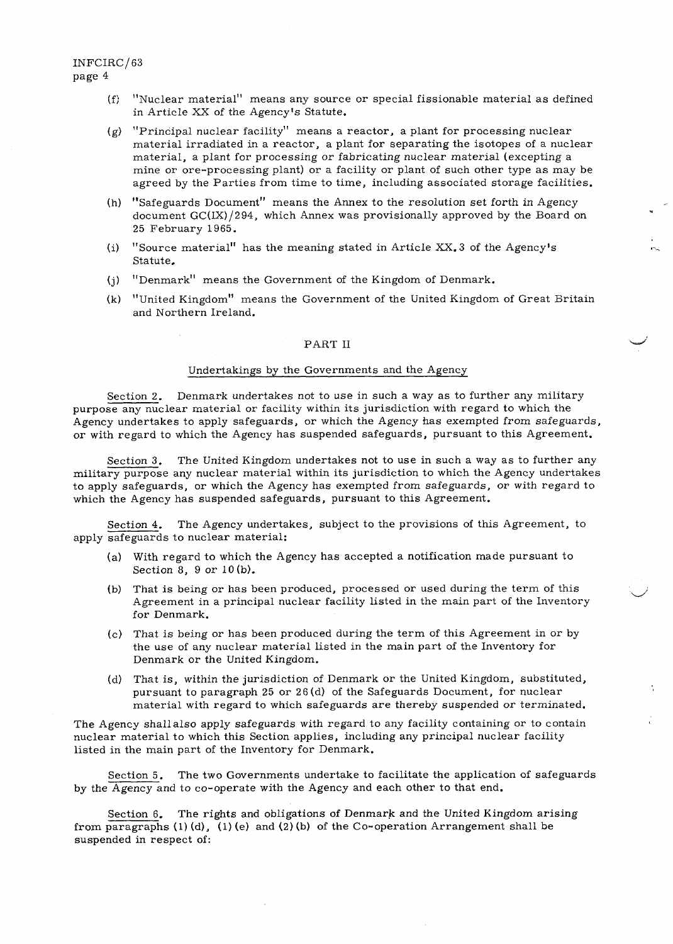- (f; "Nuclear material" means any source or special fissionable material as defined in Article XX of the Agency's Statute.
- $(g)$  "Principal nuclear facility" means a reactor, a plant for processing nuclear material irradiated in a reactor, a plant for separating the isotopes of a nuclear material, a plant for processing or fabricating nuclear material (excepting a mine or ore-processing plant) or a facility or plant of such other type as may be agreed by the Parties from time to time, including associated storage facilities.
- (h) "Safeguards Document" means the Annex to the resolution set forth in Agency document GC(IX)/294, which Annex was provisionally approved by the Board on 25 February 1965.
- (i) "Source material" has the meaning stated in Article XX. 3 of the Agency's Statute.
- (j) "Denmark" means the Government of the Kingdom of Denmark.
- (k) "United Kingdom" means the Government of the United Kingdom of Great Britain and Northern Ireland.

# PART II

# Undertakings by the Governments and the Agency

Section 2. Denmark undertakes not to use in such a way as to further any military purpose any nuclear material or facility within its jurisdiction with regard to which the Agency undertakes to apply safeguards, or which the Agency has exempted from safeguards, or with regard to which the Agency has suspended safeguards, pursuant to this Agreement.

Section 3. The United Kingdom undertakes not to use in such a way as to further any military purpose any nuclear material within its jurisdiction to which the Agency undertakes to apply safeguards, or which the Agency has exempted from safeguards, or with regard to which the Agency has suspended safeguards, pursuant to this Agreement.

Section 4. The Agency undertakes, subject to the provisions of this Agreement, to apply safeguards to nuclear material:

- (a) With regard to which the Agency has accepted a notification made pursuant to Section 8, 9 or 10(b).
- (b) That is being or has been produced, processed or used during the term of this Agreement in a principal nuclear facility listed in the main part of the Inventory for Denmark.
- (c) That is being or has been produced during the term of this Agreement in or by the use of any nuclear material listed in the main part of the Inventory for Denmark or the United Kingdom.
- (d) That is, within the jurisdiction of Denmark or the United Kingdom, substituted, pursuant to paragraph 25 or 2 6(d) of the Safeguards Document, for nuclear material with regard to which safeguards are thereby suspended or terminated.

The Agency shall also apply safeguards with regard to any facility containing or to contain nuclear material to which this Section applies, including any principal nuclear facility listed in the main part of the Inventory for Denmark.

Section 5. The two Governments undertake to facilitate the application of safeguards by the Agency and to co-operate with the Agency and each other to that end.

Section 6. The rights and obligations of Denmark and the United Kingdom arising from paragraphs (1) (d), (1) (e) and (2) (b) of the Co-operation Arrangement shall be suspended in respect of: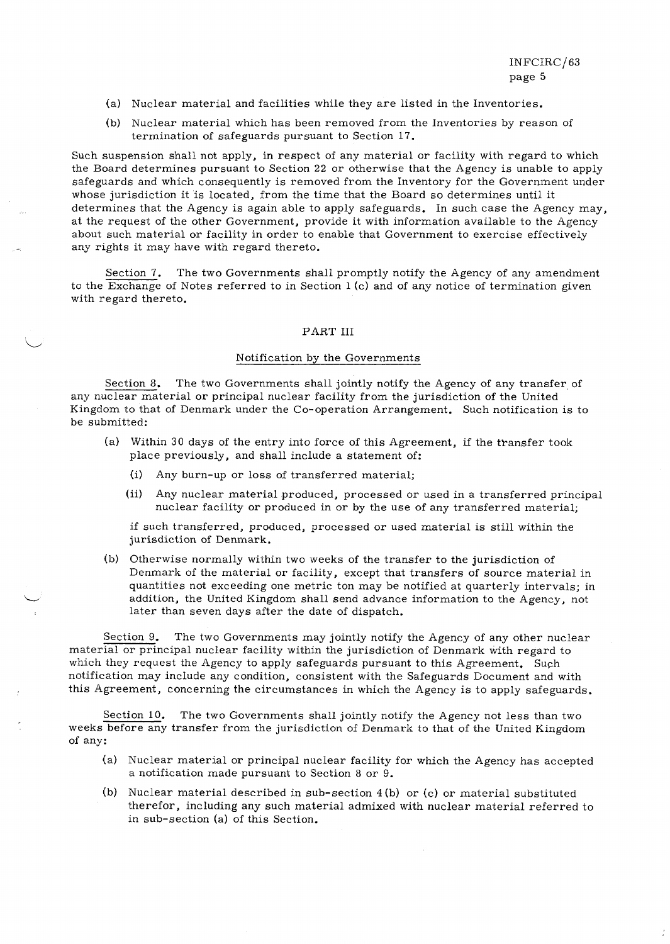- (a) Nuclear material and facilities while they are listed in the Inventories.
- (b) Nuclear material which has been removed from the Inventories by reason of termination of safeguards pursuant to Section 17.

Such suspension shall not apply, in respect of any material or facility with regard to which the Board determines pursuant to Section 22 or otherwise that the Agency is unable to apply safeguards and which consequently is removed from the Inventory for the Government under whose jurisdiction it is located, from the time that the Board so determines until it determines that the Agency is again able to apply safeguards. In such case the Agency may, at the request of the other Government, provide it with information available to the Agency about such material or facility in order to enable that Government to exercise effectively any rights it may have with regard thereto.

Section 7. The two Governments shall promptly notify the Agency of any amendment to the  $\overline{\text{Exchange}}$  of Notes referred to in Section 1 (c) and of any notice of termination given with regard thereto.

# PART III

# Notification by the Governments

Section 8. The two Governments shall jointly notify the Agency of any transfer of any nuclear material or principal nuclear facility from the jurisdiction of the United Kingdom to that of Denmark under the Co-operation Arrangement. Such notification is to be submitted:

- (a) Within 30 days of the entry into force of this Agreement, if the transfer took place previously, and shall include a statement of:
	- (i) Any burn-up or loss of transferred material;
	- (ii) Any nuclear material produced, processed or used in a transferred principal nuclear facility or produced in or by the use of any transferred material;

if such transferred, produced, processed or used material is still within the jurisdiction of Denmark.

(b) Otherwise normally within two weeks of the transfer to the jurisdiction of Denmark of the material or facility, except that transfers of source material in quantities not exceeding one metric ton may be notified at quarterly intervals; in addition, the United Kingdom shall send advance information to the Agency, not later than seven days after the date of dispatch.

Section 9. The two Governments may jointly notify the Agency of any other nuclear material or principal nuclear facility within the jurisdiction of Denmark with regard to which they request the Agency to apply safeguards pursuant to this Agreement. Such notification may include any condition, consistent with the Safeguards Document and with this Agreement, concerning the circumstances in which the Agency is to apply safeguards.

Section 10. The two Governments shall jointly notify the Agency not less than two weeks before any transfer from the jurisdiction of Denmark to that of the United Kingdom of any:

- (a) Nuclear material or principal nuclear facility for which the Agency has accepted a notification made pursuant to Section 8 or 9.
- (b) Nuclear material described in sub-section 4 (b) or (c) or material substituted therefor, including any such material admixed with nuclear material referred to in sub-section (a) of this Section.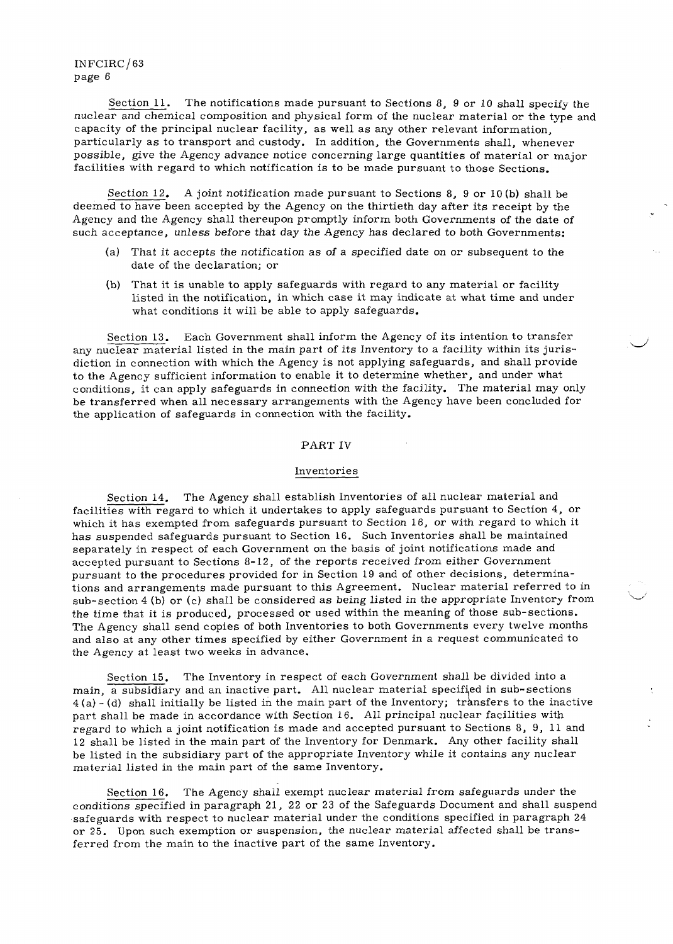Section 11. The notifications made pursuant to Sections 8, 9 or 10 shall specify the nuclear and chemical composition and physical form of the nuclear material or the type and capacity of the principal nuclear facility, as well as any other relevant information, particularly as to transport and custody. In addition, the Governments shall, whenever possible, give the Agency advance notice concerning large quantities of material or major facilities with regard to which notification is to be made pursuant to those Sections.

Section 12. A joint notification made pursuant to Sections 8, 9 or 10 (b) shall be deemed to have been accepted by the Agency on the thirtieth day after its receipt by the Agency and the Agency shall thereupon promptly inform both Governments of the date of such acceptance, *unless before* that day the Agency has declared to both Governments:

- (a) That it accepts the *notification* as of a specified date on or subsequent to the date of the declaration; or
- (b) That it is unable to apply safeguards with regard to any material or facility listed in the notification, in which case it may indicate at what time and under what conditions it will be able to apply safeguards.

Section 13. Each Government shall inform the Agency of its intention to transfer any nuclear material listed in the main part of its Inventory to a facility within its jurisdiction in connection with which the Agency is not applying safeguards, and shall provide to the Agency sufficient information to enable it to determine whether, and under what conditions, it can apply safeguards in connection with the facility. The material may only be transferred when all necessary arrangements with the Agency have been concluded for the application of safeguards in connection with the facility.

# PART IV

#### Inventories

Section 14. The Agency shall establish Inventories of all nuclear material and facilities with regard to which it undertakes to apply safeguards pursuant to Section 4, or which it has exempted from safeguards pursuant to Section 16, or with regard to which it has suspended safeguards pursuant to Section 16. Such Inventories shall be maintained separately in respect of each Government on the basis of joint notifications made and accepted pursuant to Sections 8-12, of the reports received from either Government pursuant to the procedures provided for in Section 19 and of other decisions, determinations and arrangements made pursuant to this Agreement. Nuclear material referred to in sub-section 4 (b) or (c) shall be considered as being listed *in* the appropriate Inventory from the time that it is produced, processed or used within the meaning of those sub-sections. The Agency shall send copies of both Inventories to both Governments every twelve months and also at any other times specified by either Government in a request communicated to the Agency at least two weeks in advance.

Section 15. The Inventory in respect of each Government shall be divided into a main, a subsidiary and an inactive part. All nuclear material specified in sub-sections  $4(a) - (d)$  shall initially be listed in the main part of the Inventory; transfers to the inactive part shall be made in accordance with Section 16. All principal nuclear facilities with regard to which a joint notification is made and accepted pursuant to Sections 8, 9, 11 and 12 shall be listed in the main part of the Inventory for Denmark. Any other facility shall be listed in the subsidiary part of the appropriate Inventory while it contains any nuclear material listed in the main part of the same Inventory.

Section 16. The Agency shall exempt nuclear material from safeguards under the conditions specified in paragraph 21, 22 or 23 of the Safeguards Document and shall suspend safeguards with respect to nuclear material under the conditions specified in paragraph 24 or 25. Upon such exemption or suspension, the nuclear material affected shall be transferred from the main to the inactive part of the same Inventory.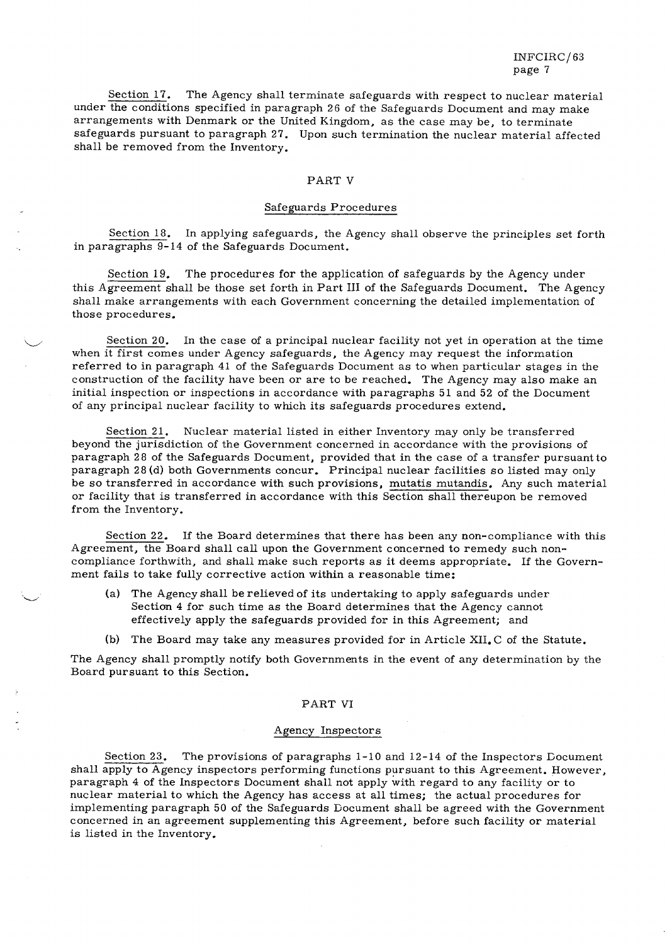Section 17. The Agency shall terminate safeguards with respect to nuclear material under the conditions specified in paragraph 26 of the Safeguards Document and may make arrangements with Denmark or the United Kingdom, as the case may be, to terminate safeguards pursuant to paragraph 27. Upon such termination the nuclear material affected shall be removed from the Inventory.

# PART V

#### Safeguards Procedures

Section 18. In applying safeguards, the Agency shall observe the principles set forth in paragraphs 9-14 of the Safeguards Document.

Section 19. The procedures for the application of safeguards by the Agency under this Agreement shall be those set forth in Part III of the Safeguards Document. The Agency shall make arrangements with each Government concerning the detailed implementation of those procedures.

Section 20. In the case of a principal nuclear facility not yet in operation at the time when it first comes under Agency safeguards, the Agency may request the information referred to in paragraph 41 of the Safeguards Document as to when particular stages in the construction of the facility have been or are to be reached. The Agency may also make an initial inspection or inspections in accordance with paragraphs 51 and 52 of the Document of any principal nuclear facility to which its safeguards procedures extend.

Section 21. Nuclear material listed in either Inventory may only be transferred beyond the jurisdiction of the Government concerned in accordance with the provisions of paragraph 28 of the Safeguards Document, provided that in the case of a transfer pursuant to paragraph 28 (d) both Governments concur. Principal nuclear facilities so listed may only be so transferred in accordance with such provisions, mutatis mutandis. Any such material or facility that is transferred in accordance with this Section shall thereupon be removed from the Inventory.

Section 22. If the Board determines that there has been any non-compliance with this Agreement, the Board shall call upon the Government concerned to remedy such noncompliance forthwith, and shall make such reports as it deems appropriate. If the Government fails to take fully corrective action within a reasonable time;

- (a) The Agency shall be relieved of its undertaking to apply safeguards under Section 4 for such time as the Board determines that the Agency cannot effectively apply the safeguards provided for in this Agreement; and
- (b) The Board may take any measures provided for in Article XII. C of the Statute.

The Agency shall promptly notify both Governments in the event of any determination by the Board pursuant to this Section.

#### PART VI

#### Agency Inspectors

Section 23. The provisions of paragraphs 1-10 and 12-14 of the Inspectors Document shall apply to Agency inspectors performing functions pursuant to this Agreement. However, paragraph 4 of the Inspectors Document shall not apply with regard to any facility or to nuclear material to which the Agency has access at all times; the actual procedures for implementing paragraph 50 of the Safeguards Document shall be agreed with the Government concerned in an agreement supplementing this Agreement, before such facility or material is listed in the Inventory.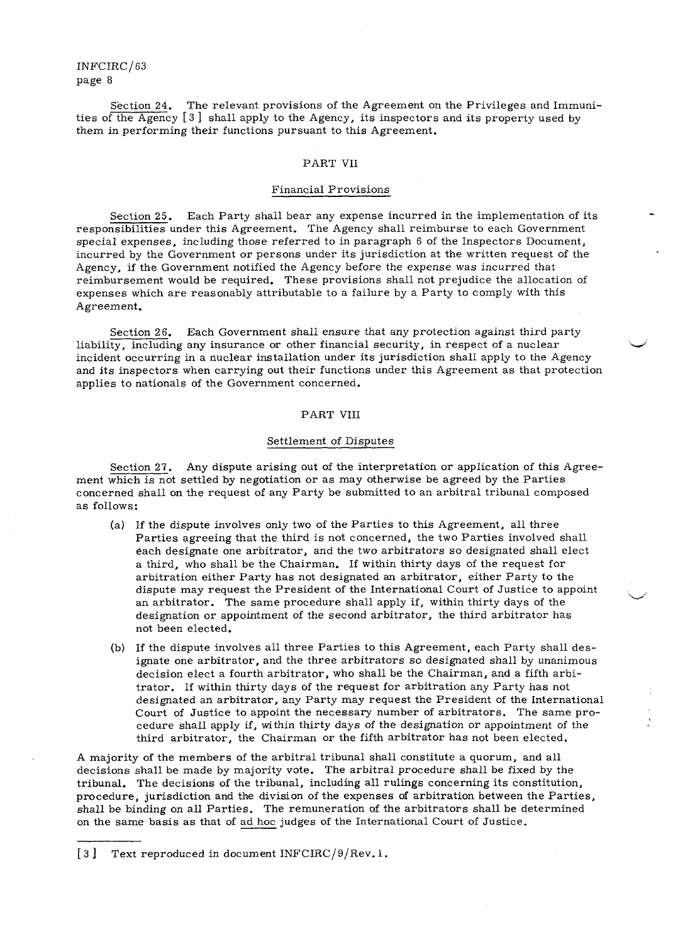Section 24. The relevant provisions of the Agreement on the Privileges and Immunities of the Agency [3 ] shall apply to the Agency, its inspectors and its property used by them in performing their functions pursuant to this Agreement.

# PART VII

#### Financial Provisions

Section 25. Each Party shall bear any expense incurred in the implementation of its responsibilities under this Agreement. The Agency shall reimburse to each Government special expenses, including those referred to in paragraph 6 of the Inspectors Document, incurred by the Government or persons under its jurisdiction at the written request of the Agency, if the Government notified the Agency before the expense was incurred that reimbursement would be required. These provisions shall not prejudice the allocation of expenses which are reasonably attributable to a failure by a Party to comply with this Agreement.

Section 26. Each Government shall ensure that any protection against third party liability, including any insurance or other financial security, in respect of a nuclear incident occurring in a nuclear installation under its jurisdiction shall apply to the Agency and its inspectors when carrying out their functions under this Agreement as that protection applies to nationals of the Government concerned.

# PART VIII

#### Settlement of Disputes

Section 27. Any dispute arising out of the interpretation or application of this Agreement which is not settled by negotiation or as may otherwise be agreed by the Parties concerned shall on the request of any Party be submitted to an arbitral tribunal composed as follows:

- (a) If the dispute involves only two of the Parties to this Agreement, all three Parties agreeing that the third is not concerned, the two Parties involved shall each designate one arbitrator, and the two arbitrators so designated shall elect a third, who shall be the Chairman. If within thirty days of the request for arbitration either Party has not designated an arbitrator, either Party to the dispute may request the President of the International Court of Justice to appoint an arbitrator. The same procedure shall apply if, within thirty days of the designation or appointment of the second arbitrator, the third arbitrator has not been elected.
- (b) If the dispute involves all three Parties to this Agreement, each Party shall designate one arbitrator, and the three arbitrators so designated shall by unanimous decision elect a fourth arbitrator, who shall be the Chairman, and a fifth arbitrator. If within thirty days of the request for arbitration any Party has not designated an arbitrator, any Party may request the President of the International Court of Justice to appoint the necessary number of arbitrators. The same procedure shall apply if, within thirty days of the designation or appointment of the third arbitrator, the Chairman or the fifth arbitrator has not been elected.

A majority of the members of the arbitral tribunal shall constitute a quorum, and all decisions shall be made by majority vote. The arbitral procedure shall be fixed by the tribunal. The decisions of the tribunal, including all rulings concerning its constitution, procedure, jurisdiction and the division of the expenses of arbitration between the Parties, shall be binding on all Parties. The remuneration of the arbitrators shall be determined on the same basis as that of ad hoc judges of the International Court of Justice.

<sup>[3]</sup> Text reproduced in document INFCIRC/9/Rev. 1.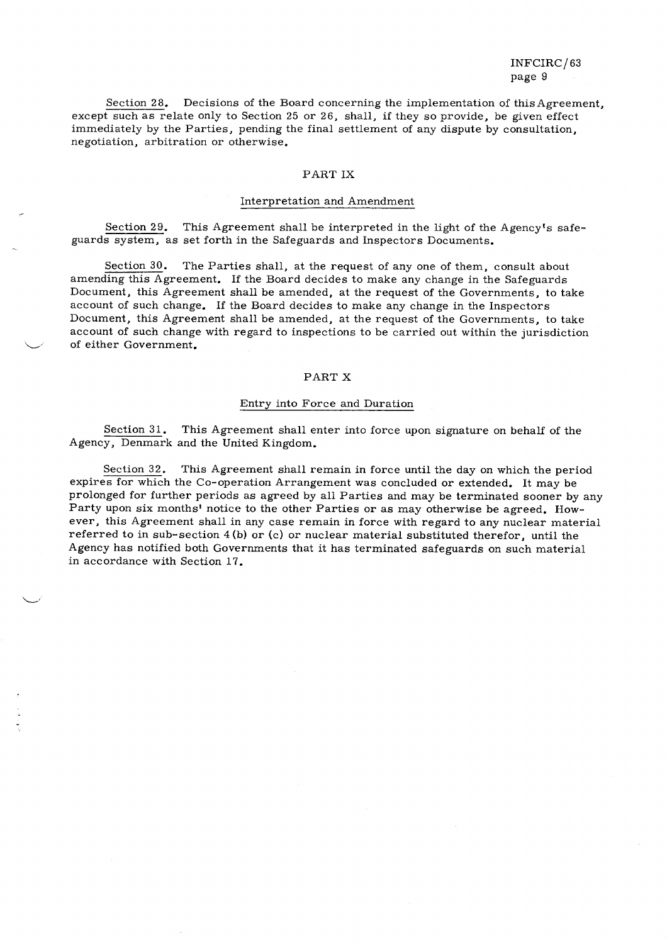Section 28. Decisions of the Board concerning the implementation of this Agreement, except such as relate only to Section 25 or 26, shall, if they so provide, be given effect immediately by the Parties, pending the final settlement of any dispute by consultation, negotiation, arbitration or otherwise.

#### PART IX

#### Interpretation and Amendment

Section 29. This Agreement shall be interpreted in the light of the Agency's safeguards system, as set forth in the Safeguards and Inspectors Documents.

Section 30. The Parties shall, at the request of any one of them, consult about amending this Agreement. If the Board decides to make any change in the Safeguards Document, this Agreement shall be amended, at the request of the Governments, to take account of such change. If the Board decides to make any change in the Inspectors Document, this Agreement shall be amended, at the request of the Governments, to take account of such change with regard to inspections to be carried out within the jurisdiction of either Government.

# PART X

#### Entry into Force and Duration

Section 31. This Agreement shall enter into force upon signature on behalf of the Agency, Denmark and the United Kingdom.

Section 32. This Agreement shall remain in force until the day on which the period expires for which the Co-operation Arrangement was concluded or extended. It may be prolonged for further periods as agreed by all Parties and may be terminated sooner by any Party upon six months' notice to the other Parties or as may otherwise be agreed. However, this Agreement shall in any case remain in force with regard to any nuclear material referred to in sub-section 4 (b) or (c) or nuclear material substituted therefor, until the Agency has notified both Governments that it has terminated safeguards on such material in accordance with Section 17.